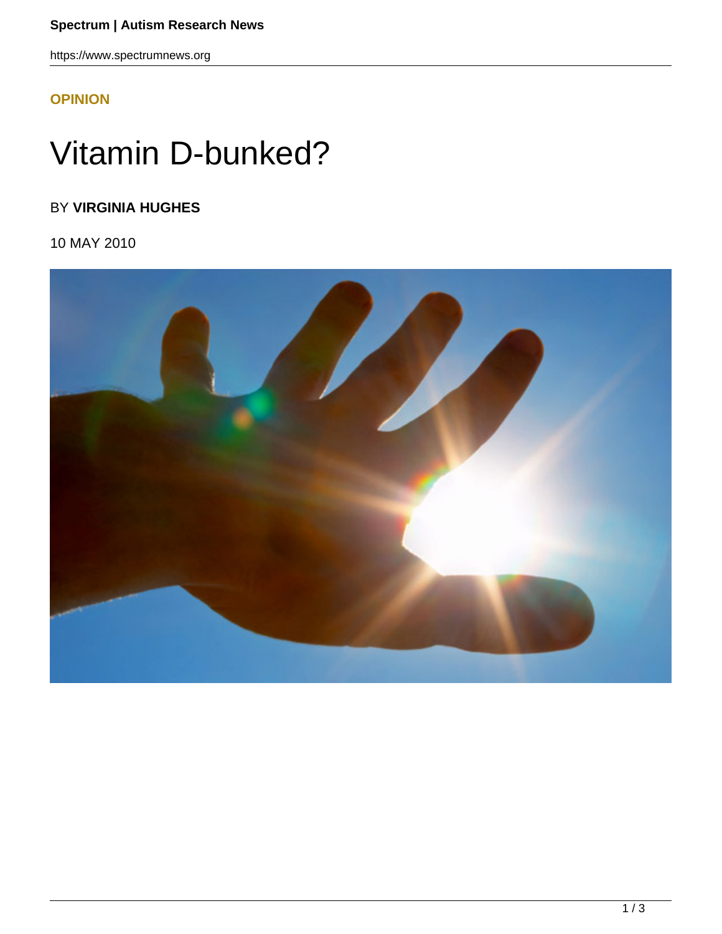https://www.spectrumnews.org

## **[OPINION](HTTPS://WWW.SPECTRUMNEWS.ORG/OPINION/)**

## Vitamin D-bunked?

## BY **VIRGINIA HUGHES**

10 MAY 2010

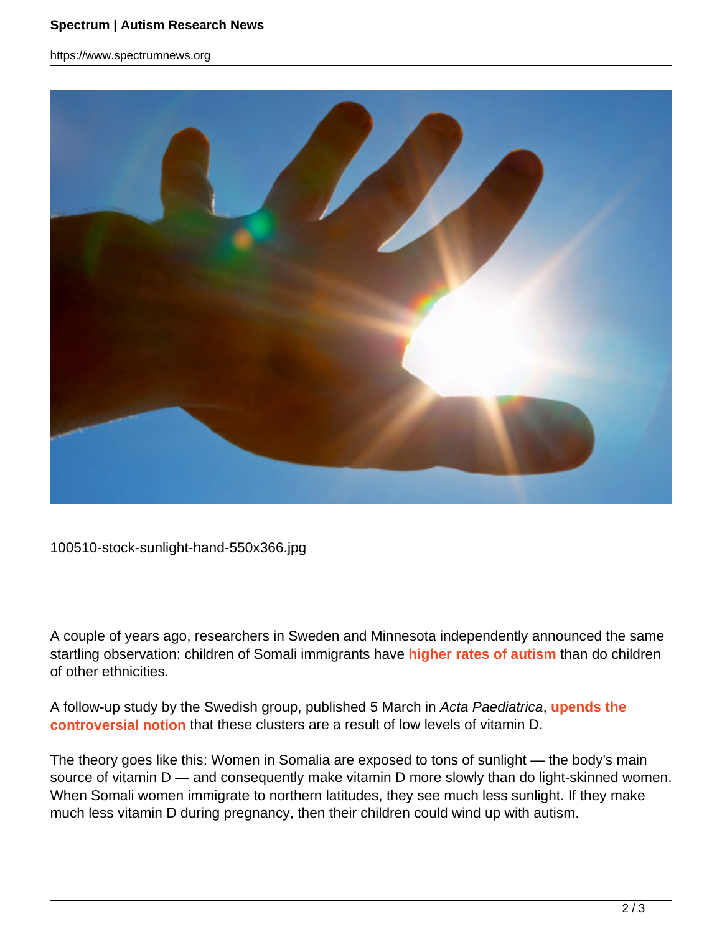## **Spectrum | Autism Research News**

https://www.spectrumnews.org



100510-stock-sunlight-hand-550x366.jpg

A couple of years ago, researchers in Sweden and Minnesota independently announced the same startling observation: children of Somali immigrants have **higher rates of autism** than do children of other ethnicities.

A follow-up study by the Swedish group, published 5 March in Acta Paediatrica, **upends the controversial notion** that these clusters are a result of low levels of vitamin D.

The theory goes like this: Women in Somalia are exposed to tons of sunlight — the body's main source of vitamin D — and consequently make vitamin D more slowly than do light-skinned women. When Somali women immigrate to northern latitudes, they see much less sunlight. If they make much less vitamin D during pregnancy, then their children could wind up with autism.